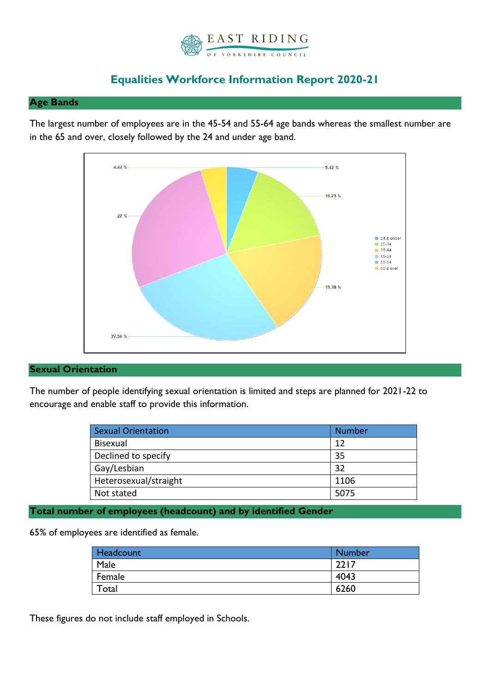

# **Equalities Workforce Information Report 2020-21**

## **Age Bands**

The largest number of employees are in the 45-54 and 55-64 age bands whereas the smallest number are in the 65 and over, closely followed by the 24 and under age band.



# **Sexual Orientation**

The number of people identifying sexual orientation is limited and steps are planned for 2021-22 to encourage and enable staff to provide this information.

| <b>Sexual Orientation</b> | <b>Number</b> |
|---------------------------|---------------|
| <b>Bisexual</b>           | 12            |
| Declined to specify       | 35            |
| Gay/Lesbian               | 32            |
| Heterosexual/straight     | 1106          |
| Not stated                | 5075          |

# **Total number of employees (headcount) and by identified Gender**

65% of employees are identified as female.

| Headcount | Number |
|-----------|--------|
| Male      | 2217   |
| Female    | 4043   |
| Total     | 6260   |

These figures do not include staff employed in Schools.